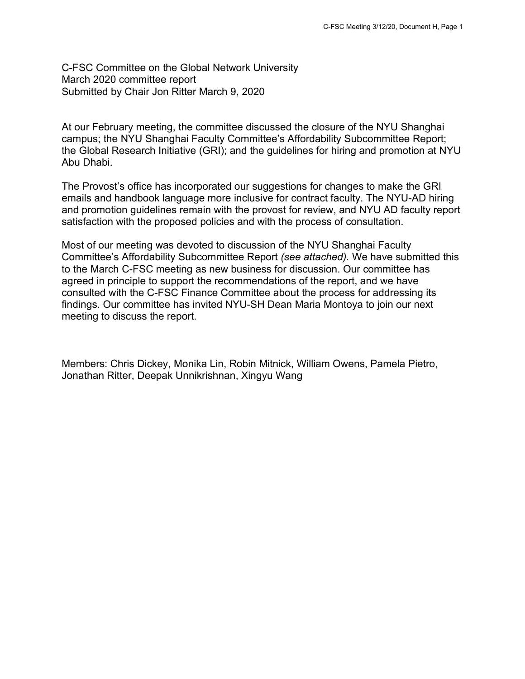C-FSC Committee on the Global Network University March 2020 committee report Submitted by Chair Jon Ritter March 9, 2020

At our February meeting, the committee discussed the closure of the NYU Shanghai campus; the NYU Shanghai Faculty Committee's Affordability Subcommittee Report; the Global Research Initiative (GRI); and the guidelines for hiring and promotion at NYU Abu Dhabi.

The Provost's office has incorporated our suggestions for changes to make the GRI emails and handbook language more inclusive for contract faculty. The NYU-AD hiring and promotion guidelines remain with the provost for review, and NYU AD faculty report satisfaction with the proposed policies and with the process of consultation.

Most of our meeting was devoted to discussion of the NYU Shanghai Faculty Committee's Affordability Subcommittee Report *(see attached).* We have submitted this to the March C-FSC meeting as new business for discussion. Our committee has agreed in principle to support the recommendations of the report, and we have consulted with the C-FSC Finance Committee about the process for addressing its findings. Our committee has invited NYU-SH Dean Maria Montoya to join our next meeting to discuss the report.

Members: Chris Dickey, Monika Lin, Robin Mitnick, William Owens, Pamela Pietro, Jonathan Ritter, Deepak Unnikrishnan, Xingyu Wang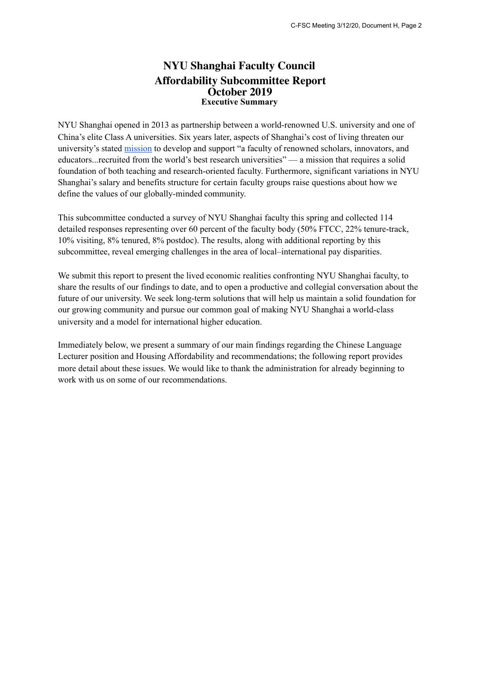## **NYU Shanghai Faculty Council Affordability Subcommittee Report October 2019 Executive Summary**

NYU Shanghai opened in 2013 as partnership between a world-renowned U.S. university and one of China's elite Class A universities. Six years later, aspects of Shanghai's cost of living threaten our university's stated [mission](https://shanghai.nyu.edu/about) to develop and support "a faculty of renowned scholars, innovators, and educators...recruited from the world's best research universities" — a mission that requires a solid foundation of both teaching and research-oriented faculty. Furthermore, significant variations in NYU Shanghai's salary and benefits structure for certain faculty groups raise questions about how we define the values of our globally-minded community.

This subcommittee conducted a survey of NYU Shanghai faculty this spring and collected 114 detailed responses representing over 60 percent of the faculty body (50% FTCC, 22% tenure-track, 10% visiting, 8% tenured, 8% postdoc). The results, along with additional reporting by this subcommittee, reveal emerging challenges in the area of local–international pay disparities.

We submit this report to present the lived economic realities confronting NYU Shanghai faculty, to share the results of our findings to date, and to open a productive and collegial conversation about the future of our university. We seek long-term solutions that will help us maintain a solid foundation for our growing community and pursue our common goal of making NYU Shanghai a world-class university and a model for international higher education.

Immediately below, we present a summary of our main findings regarding the Chinese Language Lecturer position and Housing Affordability and recommendations; the following report provides more detail about these issues. We would like to thank the administration for already beginning to work with us on some of our recommendations.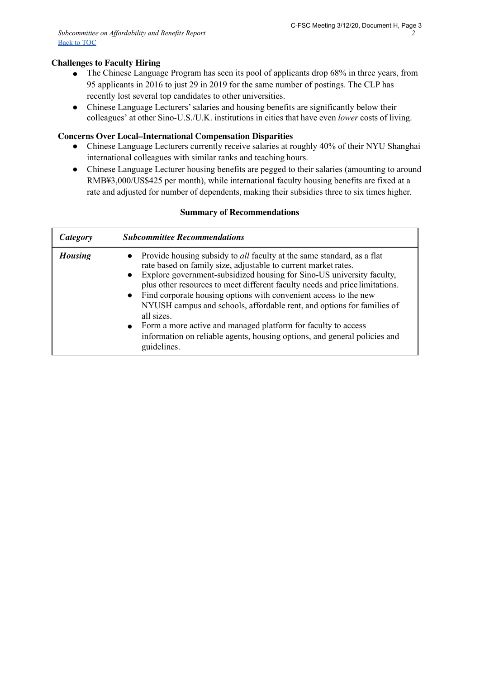## **Challenges to Faculty Hiring**

- The Chinese Language Program has seen its pool of applicants drop 68% in three years, from 95 applicants in 2016 to just 29 in 2019 for the same number of postings. The CLP has recently lost several top candidates to other universities.
- Chinese Language Lecturers' salaries and housing benefits are significantly below their colleagues' at other Sino-U.S./U.K. institutions in cities that have even *lower* costs of living.

#### **Concerns Over Local–International Compensation Disparities**

- Chinese Language Lecturers currently receive salaries at roughly 40% of their NYU Shanghai international colleagues with similar ranks and teaching hours.
- Chinese Language Lecturer housing benefits are pegged to their salaries (amounting to around RMB¥3,000/US\$425 per month), while international faculty housing benefits are fixed at a rate and adjusted for number of dependents, making their subsidies three to six times higher.

#### **Summary of Recommendations**

| Category       | <b>Subcommittee Recommendations</b>                                                                                                                                                                                                                                                                                                                                                                                                                                                                                                                                                                                                                 |  |
|----------------|-----------------------------------------------------------------------------------------------------------------------------------------------------------------------------------------------------------------------------------------------------------------------------------------------------------------------------------------------------------------------------------------------------------------------------------------------------------------------------------------------------------------------------------------------------------------------------------------------------------------------------------------------------|--|
| <b>Housing</b> | • Provide housing subsidy to <i>all</i> faculty at the same standard, as a flat<br>rate based on family size, adjustable to current market rates.<br>Explore government-subsidized housing for Sino-US university faculty,<br>$\bullet$<br>plus other resources to meet different faculty needs and price limitations.<br>• Find corporate housing options with convenient access to the new<br>NYUSH campus and schools, affordable rent, and options for families of<br>all sizes.<br>• Form a more active and managed platform for faculty to access<br>information on reliable agents, housing options, and general policies and<br>guidelines. |  |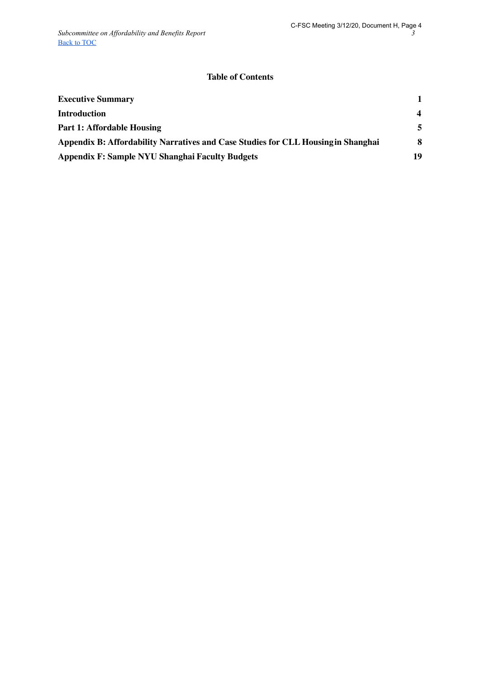## **Table of Contents**

| <b>Executive Summary</b>                                                          |                         |
|-----------------------------------------------------------------------------------|-------------------------|
| <b>Introduction</b>                                                               | $\overline{\mathbf{4}}$ |
| <b>Part 1: Affordable Housing</b>                                                 | 5                       |
| Appendix B: Affordability Narratives and Case Studies for CLL Housing in Shanghai | 8                       |
| Appendix F: Sample NYU Shanghai Faculty Budgets                                   | 19                      |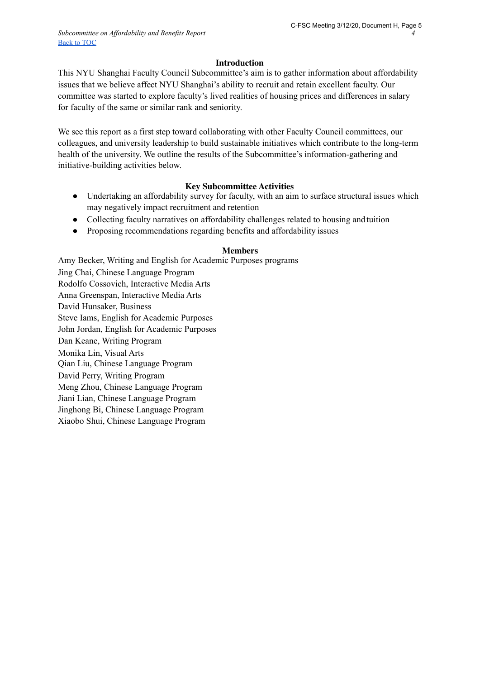#### **Introduction**

This NYU Shanghai Faculty Council Subcommittee's aim is to gather information about affordability issues that we believe affect NYU Shanghai's ability to recruit and retain excellent faculty. Our committee was started to explore faculty's lived realities of housing prices and differences in salary for faculty of the same or similar rank and seniority.

We see this report as a first step toward collaborating with other Faculty Council committees, our colleagues, and university leadership to build sustainable initiatives which contribute to the long-term health of the university. We outline the results of the Subcommittee's information-gathering and initiative-building activities below.

#### **Key Subcommittee Activities**

- Undertaking an affordability survey for faculty, with an aim to surface structural issues which may negatively impact recruitment and retention
- Collecting faculty narratives on affordability challenges related to housing andtuition
- Proposing recommendations regarding benefits and affordability issues

## **Members**

Amy Becker, Writing and English for Academic Purposes programs Jing Chai, Chinese Language Program Rodolfo Cossovich, Interactive Media Arts Anna Greenspan, Interactive Media Arts David Hunsaker, Business Steve Iams, English for Academic Purposes John Jordan, English for Academic Purposes Dan Keane, Writing Program Monika Lin, Visual Arts Qian Liu, Chinese Language Program David Perry, Writing Program Meng Zhou, Chinese Language Program Jiani Lian, Chinese Language Program Jinghong Bi, Chinese Language Program Xiaobo Shui, Chinese Language Program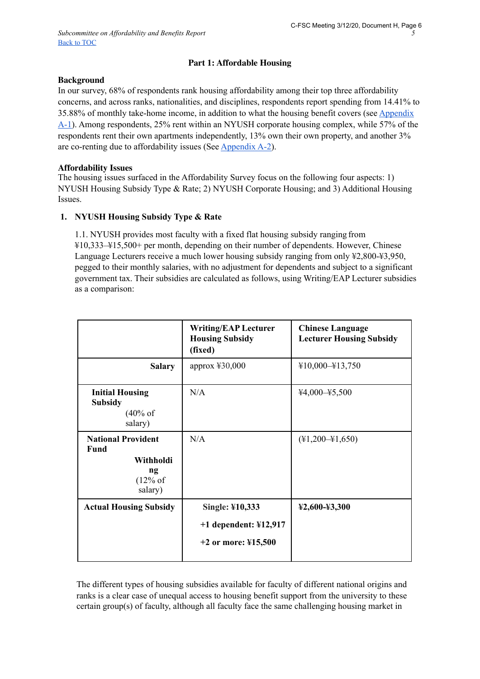## **Part 1: Affordable Housing**

#### **Background**

In our survey, 68% of respondents rank housing affordability among their top three affordability concerns, and across ranks, nationalities, and disciplines, respondents report spending from 14.41% to 35.88% of monthly take-home income, in addition to what the housing benefit covers (see Appendix A-1). Among respondents, 25% rent within an NYUSH corporate housing complex, while 57% of the respondents rent their own apartments independently, 13% own their own property, and another 3% are co-renting due to affordability issues (See Appendix A-2).

#### **Affordability Issues**

The housing issues surfaced in the Affordability Survey focus on the following four aspects: 1) NYUSH Housing Subsidy Type & Rate; 2) NYUSH Corporate Housing; and 3) Additional Housing Issues.

## **1. NYUSH Housing Subsidy Type & Rate**

1.1. NYUSH provides most faculty with a fixed flat housing subsidy ranging from ¥10,333–¥15,500+ per month, depending on their number of dependents. However, Chinese Language Lecturers receive a much lower housing subsidy ranging from only ¥2,800-¥3,950, pegged to their monthly salaries, with no adjustment for dependents and subject to a significant government tax. Their subsidies are calculated as follows, using Writing/EAP Lecturer subsidies as a comparison:

|                                                                                   | <b>Writing/EAP Lecturer</b><br><b>Housing Subsidy</b><br>(fixed)                       | <b>Chinese Language</b><br><b>Lecturer Housing Subsidy</b> |
|-----------------------------------------------------------------------------------|----------------------------------------------------------------------------------------|------------------------------------------------------------|
| <b>Salary</b>                                                                     | approx $430,000$                                                                       | $¥10,000-¥13,750$                                          |
| <b>Initial Housing</b><br><b>Subsidy</b><br>$(40\% \text{ of }$<br>salary)        | N/A                                                                                    | $44,000 - 45,500$                                          |
| <b>National Provident</b><br><b>Fund</b><br>Withholdi<br>ng<br>(12% of<br>salary) | N/A                                                                                    | $(\text{\#}1, 200 - \text{\#}1, 650)$                      |
| <b>Actual Housing Subsidy</b>                                                     | Single: ¥10,333<br>$+1$ dependent: ¥12,917<br>+2 or more: $\text{\textsterling}15,500$ | ¥2,600-¥3,300                                              |

The different types of housing subsidies available for faculty of different national origins and ranks is a clear case of unequal access to housing benefit support from the university to these certain group(s) of faculty, although all faculty face the same challenging housing market in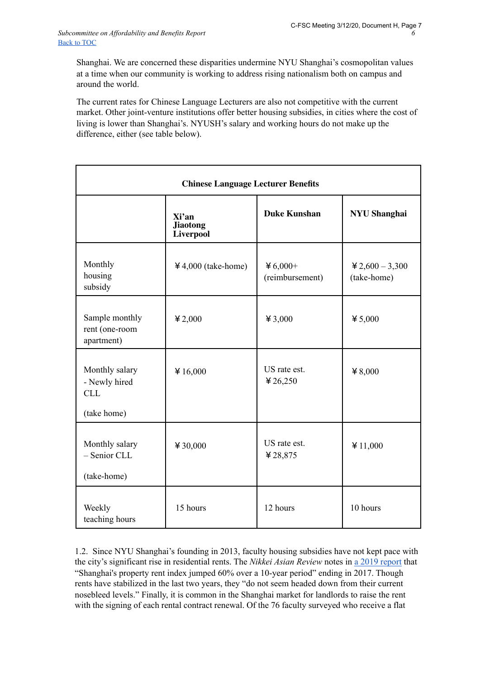Shanghai. We are concerned these disparities undermine NYU Shanghai's cosmopolitan values at a time when our community is working to address rising nationalism both on campus and around the world.

The current rates for Chinese Language Lecturers are also not competitive with the current market. Other joint-venture institutions offer better housing subsidies, in cities where the cost of living is lower than Shanghai's. NYUSH's salary and working hours do not make up the difference, either (see table below).

| <b>Chinese Language Lecturer Benefits</b>                    |                                              |                             |                                 |
|--------------------------------------------------------------|----------------------------------------------|-----------------------------|---------------------------------|
|                                                              | Xi'an<br><b>Jiaotong</b><br><b>Liverpool</b> | <b>Duke Kunshan</b>         | <b>NYU Shanghai</b>             |
| Monthly<br>housing<br>subsidy                                | $4,000$ (take-home)                          | ¥ 6,000+<br>(reimbursement) | $42,600 - 3,300$<br>(take-home) |
| Sample monthly<br>rent (one-room<br>apartment)               | $*2,000$                                     | ¥ 3,000                     | ¥ 5,000                         |
| Monthly salary<br>- Newly hired<br><b>CLL</b><br>(take home) | ¥16,000                                      | US rate est.<br>¥ 26,250    | $*8,000$                        |
| Monthly salary<br>- Senior CLL<br>(take-home)                | ¥ 30,000                                     | US rate est.<br>¥28,875     | ¥ $11,000$                      |
| Weekly<br>teaching hours                                     | 15 hours                                     | 12 hours                    | 10 hours                        |

1.2. Since NYU Shanghai's founding in 2013, faculty housing subsidies have not kept pace with the city's significant rise in residential rents. The *Nikkei Asian Review* notes in [a 2019 report](https://asia.nikkei.com/Business/Markets/Property/Stratospheric-Shanghai-property-market-plateaus) that "Shanghai's property rent index jumped 60% over a 10-year period" ending in 2017. Though rents have stabilized in the last two years, they "do not seem headed down from their current nosebleed levels." Finally, it is common in the Shanghai market for landlords to raise the rent with the signing of each rental contract renewal. Of the 76 faculty surveyed who receive a flat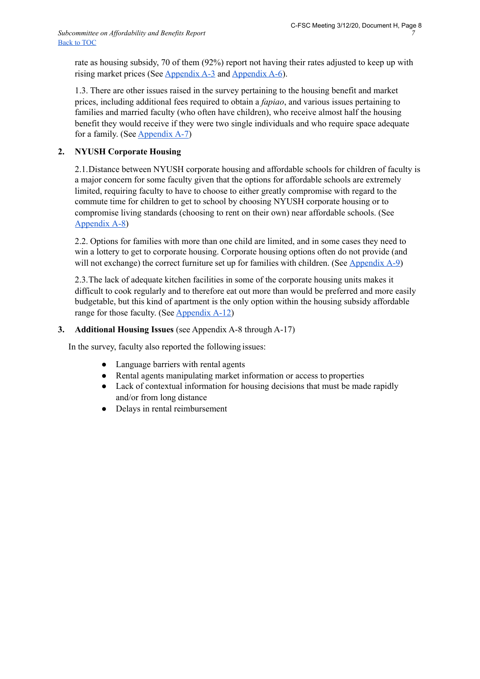rate as housing subsidy, 70 of them (92%) report not having their rates adjusted to keep up with rising market prices (See Appendix A-3 and Appendix A-6).

1.3. There are other issues raised in the survey pertaining to the housing benefit and market prices, including additional fees required to obtain a *fapiao*, and various issues pertaining to families and married faculty (who often have children), who receive almost half the housing benefit they would receive if they were two single individuals and who require space adequate for a family. (See Appendix A-7)

## **2. NYUSH Corporate Housing**

2.1.Distance between NYUSH corporate housing and affordable schools for children of faculty is a major concern for some faculty given that the options for affordable schools are extremely limited, requiring faculty to have to choose to either greatly compromise with regard to the commute time for children to get to school by choosing NYUSH corporate housing or to compromise living standards (choosing to rent on their own) near affordable schools. (See Appendix A-8)

2.2. Options for families with more than one child are limited, and in some cases they need to win a lottery to get to corporate housing. Corporate housing options often do not provide (and will not exchange) the correct furniture set up for families with children. (See Appendix A-9)

2.3.The lack of adequate kitchen facilities in some of the corporate housing units makes it difficult to cook regularly and to therefore eat out more than would be preferred and more easily budgetable, but this kind of apartment is the only option within the housing subsidy affordable range for those faculty. (See  $\Delta$ ppendix  $A-12$ )

## **3. Additional Housing Issues** (see Appendix A-8 through A-17)

In the survey, faculty also reported the following issues:

- Language barriers with rental agents
- Rental agents manipulating market information or access to properties
- Lack of contextual information for housing decisions that must be made rapidly and/or from long distance
- Delays in rental reimbursement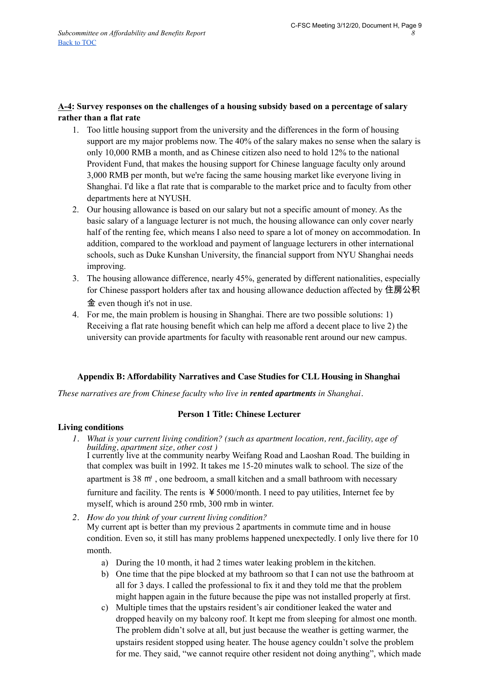## **A-4: Survey responses on the challenges of a housing subsidy based on a percentage of salary rather than a flat rate**

- 1. Too little housing support from the university and the differences in the form of housing support are my major problems now. The 40% of the salary makes no sense when the salary is only 10,000 RMB a month, and as Chinese citizen also need to hold 12% to the national Provident Fund, that makes the housing support for Chinese language faculty only around 3,000 RMB per month, but we're facing the same housing market like everyone living in Shanghai. I'd like a flat rate that is comparable to the market price and to faculty from other departments here at NYUSH.
- 2. Our housing allowance is based on our salary but not a specific amount of money. As the basic salary of a language lecturer is not much, the housing allowance can only cover nearly half of the renting fee, which means I also need to spare a lot of money on accommodation. In addition, compared to the workload and payment of language lecturers in other international schools, such as Duke Kunshan University, the financial support from NYU Shanghai needs improving.
- 3. The housing allowance difference, nearly 45%, generated by different nationalities, especially for Chinese passport holders after tax and housing allowance deduction affected by 住房公积 金 even though it's not in use.
- 4. For me, the main problem is housing in Shanghai. There are two possible solutions: 1) Receiving a flat rate housing benefit which can help me afford a decent place to live 2) the university can provide apartments for faculty with reasonable rent around our new campus.

## **Appendix B: Affordability Narratives and Case Studies for CLL Housing in Shanghai**

*These narratives are from Chinese faculty who live in rented apartments in Shanghai.*

#### **Person 1 Title: Chinese Lecturer**

#### **Living conditions**

- *1. What is your current living condition? (such as apartment location, rent, facility, age of building, apartment size, other cost )* I currently live at the community nearby Weifang Road and Laoshan Road. The building in that complex was built in 1992. It takes me 15-20 minutes walk to school. The size of the apartment is 38 ㎡ , one bedroom, a small kitchen and a small bathroom with necessary furniture and facility. The rents is  $\frac{1}{2}$  5000/month. I need to pay utilities, Internet fee by myself, which is around 250 rmb, 300 rmb in winter.
- *2. How do you think of your current living condition?*

My current apt is better than my previous 2 apartments in commute time and in house condition. Even so, it still has many problems happened unexpectedly. I only live there for 10 month.

- a) During the 10 month, it had 2 times water leaking problem in the kitchen.
- b) One time that the pipe blocked at my bathroom so that I can not use the bathroom at all for 3 days. I called the professional to fix it and they told me that the problem might happen again in the future because the pipe was not installed properly at first.
- c) Multiple times that the upstairs resident's air conditioner leaked the water and dropped heavily on my balcony roof. It kept me from sleeping for almost one month. The problem didn't solve at all, but just because the weather is getting warmer, the upstairs resident stopped using heater. The house agency couldn't solve the problem for me. They said, "we cannot require other resident not doing anything", which made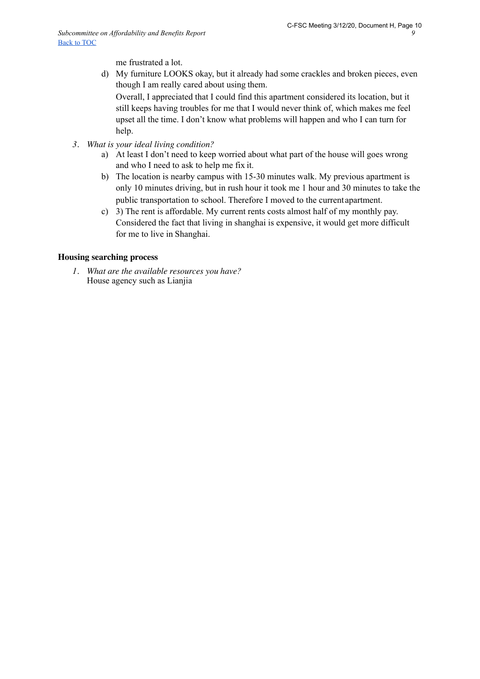me frustrated a lot.

d) My furniture LOOKS okay, but it already had some crackles and broken pieces, even though I am really cared about using them.

Overall, I appreciated that I could find this apartment considered its location, but it still keeps having troubles for me that I would never think of, which makes me feel upset all the time. I don't know what problems will happen and who I can turn for help.

- *3. What is your ideal living condition?*
	- a) At least I don't need to keep worried about what part of the house will goes wrong and who I need to ask to help me fix it.
	- b) The location is nearby campus with 15-30 minutes walk. My previous apartment is only 10 minutes driving, but in rush hour it took me 1 hour and 30 minutes to take the public transportation to school. Therefore I moved to the current apartment.
	- c) 3) The rent is affordable. My current rents costs almost half of my monthly pay. Considered the fact that living in shanghai is expensive, it would get more difficult for me to live in Shanghai.

#### **Housing searching process**

*1. What are the available resources you have?* House agency such as Lianjia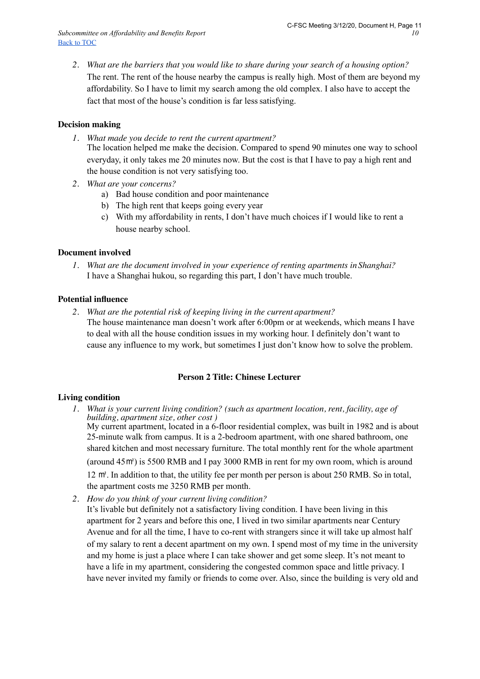*2. What are the barriers that you would like to share during your search of a housing option?*  The rent. The rent of the house nearby the campus is really high. Most of them are beyond my affordability. So I have to limit my search among the old complex. I also have to accept the fact that most of the house's condition is far less satisfying.

## **Decision making**

- *1. What made you decide to rent the current apartment?* The location helped me make the decision. Compared to spend 90 minutes one way to school everyday, it only takes me 20 minutes now. But the cost is that I have to pay a high rent and the house condition is not very satisfying too.
- *2. What are your concerns?*
	- a) Bad house condition and poor maintenance
	- b) The high rent that keeps going every year
	- c) With my affordability in rents, I don't have much choices if I would like to rent a house nearby school.

#### **Document involved**

*1. What are the document involved in your experience of renting apartments inShanghai?* I have a Shanghai hukou, so regarding this part, I don't have much trouble.

#### **Potential influence**

*2. What are the potential risk of keeping living in the current apartment?* The house maintenance man doesn't work after 6:00pm or at weekends, which means I have to deal with all the house condition issues in my working hour. I definitely don't want to cause any influence to my work, but sometimes I just don't know how to solve the problem.

#### **Person 2 Title: Chinese Lecturer**

#### **Living condition**

- *1. What is your current living condition? (such as apartment location, rent, facility, age of building, apartment size, other cost )* My current apartment, located in a 6-floor residential complex, was built in 1982 and is about 25-minute walk from campus. It is a 2-bedroom apartment, with one shared bathroom, one shared kitchen and most necessary furniture. The total monthly rent for the whole apartment (around 45㎡) is 5500 RMB and I pay 3000 RMB in rent for my own room, which is around 12 ㎡. In addition to that, the utility fee per month per person is about 250 RMB. So in total, the apartment costs me 3250 RMB per month.
- *2. How do you think of your current living condition?*

It's livable but definitely not a satisfactory living condition. I have been living in this apartment for 2 years and before this one, I lived in two similar apartments near Century Avenue and for all the time, I have to co-rent with strangers since it will take up almost half of my salary to rent a decent apartment on my own. I spend most of my time in the university and my home is just a place where I can take shower and get some sleep. It's not meant to have a life in my apartment, considering the congested common space and little privacy. I have never invited my family or friends to come over. Also, since the building is very old and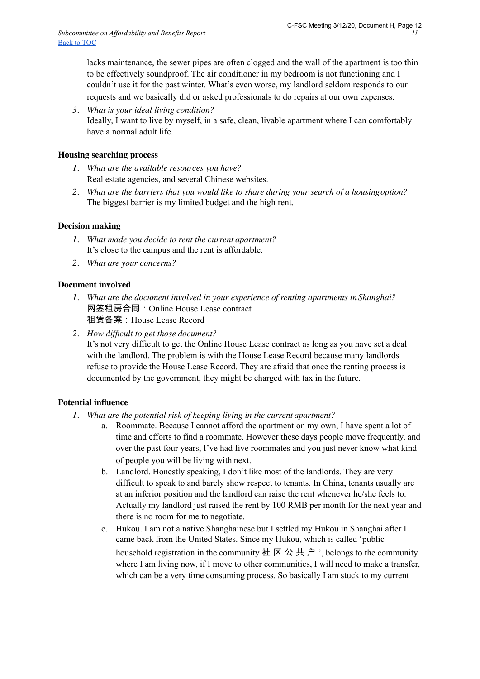lacks maintenance, the sewer pipes are often clogged and the wall of the apartment is too thin to be effectively soundproof. The air conditioner in my bedroom is not functioning and I couldn't use it for the past winter. What's even worse, my landlord seldom responds to our requests and we basically did or asked professionals to do repairs at our own expenses.

*3. What is your ideal living condition?* Ideally, I want to live by myself, in a safe, clean, livable apartment where I can comfortably have a normal adult life.

## **Housing searching process**

- *1. What are the available resources you have?* Real estate agencies, and several Chinese websites.
- *2. What are the barriers that you would like to share during your search of a housingoption?* The biggest barrier is my limited budget and the high rent.

#### **Decision making**

- *1. What made you decide to rent the current apartment?* It's close to the campus and the rent is affordable.
- *2. What are your concerns?*

#### **Document involved**

- *1. What are the document involved in your experience of renting apartments inShanghai?* 网签租房合同:Online House Lease contract 租赁备案:House Lease Record
- *2. How difficult to get those document?*

It's not very difficult to get the Online House Lease contract as long as you have set a deal with the landlord. The problem is with the House Lease Record because many landlords refuse to provide the House Lease Record. They are afraid that once the renting process is documented by the government, they might be charged with tax in the future.

#### **Potential influence**

- *1. What are the potential risk of keeping living in the current apartment?*
	- a. Roommate. Because I cannot afford the apartment on my own, I have spent a lot of time and efforts to find a roommate. However these days people move frequently, and over the past four years, I've had five roommates and you just never know what kind of people you will be living with next.
	- b. Landlord. Honestly speaking, I don't like most of the landlords. They are very difficult to speak to and barely show respect to tenants. In China, tenants usually are at an inferior position and the landlord can raise the rent whenever he/she feels to. Actually my landlord just raised the rent by 100 RMB per month for the next year and there is no room for me to negotiate.
	- c. Hukou. I am not a native Shanghainese but I settled my Hukou in Shanghai after I came back from the United States. Since my Hukou, which is called 'public household registration in the community  $\pm \boxtimes \triangle \pm \land \cdot$ , belongs to the community where I am living now, if I move to other communities, I will need to make a transfer, which can be a very time consuming process. So basically I am stuck to my current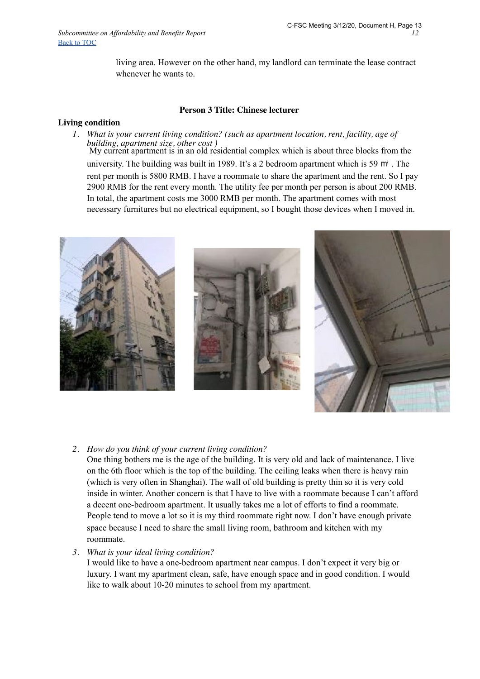living area. However on the other hand, my landlord can terminate the lease contract whenever he wants to.

#### **Person 3 Title: Chinese lecturer**

#### **Living condition**

*1. What is your current living condition? (such as apartment location, rent, facility, age of building, apartment size, other cost )* My current apartment is in an old residential complex which is about three blocks from the university. The building was built in 1989. It's a 2 bedroom apartment which is 59 ㎡ . The rent per month is 5800 RMB. I have a roommate to share the apartment and the rent. So I pay 2900 RMB for the rent every month. The utility fee per month per person is about 200 RMB. In total, the apartment costs me 3000 RMB per month. The apartment comes with most necessary furnitures but no electrical equipment, so I bought those devices when I moved in.



#### *2. How do you think of your current living condition?*

One thing bothers me is the age of the building. It is very old and lack of maintenance. I live on the 6th floor which is the top of the building. The ceiling leaks when there is heavy rain (which is very often in Shanghai). The wall of old building is pretty thin so it is very cold inside in winter. Another concern is that I have to live with a roommate because I can't afford a decent one-bedroom apartment. It usually takes me a lot of efforts to find a roommate. People tend to move a lot so it is my third roommate right now. I don't have enough private space because I need to share the small living room, bathroom and kitchen with my roommate.

*3. What is your ideal living condition?*

I would like to have a one-bedroom apartment near campus. I don't expect it very big or luxury. I want my apartment clean, safe, have enough space and in good condition. I would like to walk about 10-20 minutes to school from my apartment.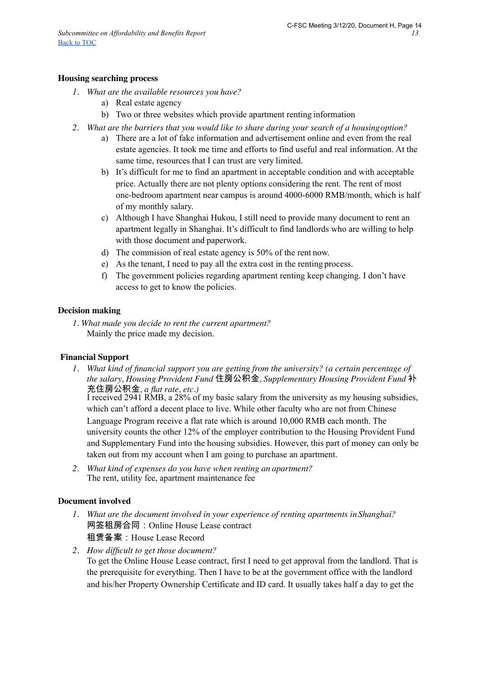#### **Housing searching process**

- *1. What are the available resources you have?*
	- a) Real estate agency
	- b) Two or three websites which provide apartment renting information
- *2. What are the barriers that you would like to share during your search of a housingoption?*
	- a) There are a lot of fake information and advertisement online and even from the real estate agencies. It took me time and efforts to find useful and real information. At the same time, resources that I can trust are very limited.
	- b) It's difficult for me to find an apartment in acceptable condition and with acceptable price. Actually there are not plenty options considering the rent. The rent of most one-bedroom apartment near campus is around 4000-6000 RMB/month, which is half of my monthly salary.
	- c) Although I have Shanghai Hukou, I still need to provide many document to rent an apartment legally in Shanghai. It's difficult to find landlords who are willing to help with those document and paperwork.
	- d) The commision of real estate agency is 50% of the rent now.
	- e) As the tenant, I need to pay all the extra cost in the renting process.
	- f) The government policies regarding apartment renting keep changing. I don't have access to get to know the policies.

#### **Decision making**

*1. What made you decide to rent the current apartment?* Mainly the price made my decision.

#### **Financial Support**

*1. What kind of financial support you are getting from the university? (a certain percentage of the salary, Housing Provident Fund* 住房公积金*, Supplementary Housing Provident Fund* 补 充住房公积金*, a flat rate, etc.)*

I received 2941 RMB, a 28% of my basic salary from the university as my housing subsidies, which can't afford a decent place to live. While other faculty who are not from Chinese Language Program receive a flat rate which is around 10,000 RMB each month. The university counts the other 12% of the employer contribution to the Housing Provident Fund and Supplementary Fund into the housing subsidies. However, this part of money can only be taken out from my account when I am going to purchase an apartment.

*2. What kind of expenses do you have when renting an apartment?* The rent, utility fee, apartment maintenance fee

#### **Document involved**

- *1. What are the document involved in your experience of renting apartments inShanghai?* 网签租房合同:Online House Lease contract 租赁备案:House Lease Record
- *2. How difficult to get those document?* To get the Online House Lease contract, first I need to get approval from the landlord. That is the prerequisite for everything. Then I have to be at the government office with the landlord and his/her Property Ownership Certificate and ID card. It usually takes half a day to get the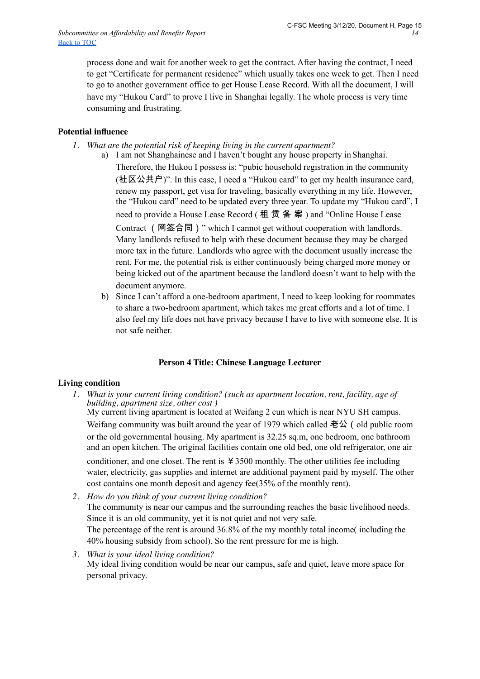process done and wait for another week to get the contract. After having the contract, I need to get "Certificate for permanent residence" which usually takes one week to get. Then I need to go to another government office to get House Lease Record. With all the document, I will have my "Hukou Card" to prove I live in Shanghai legally. The whole process is very time consuming and frustrating.

## **Potential influence**

*1. What are the potential risk of keeping living in the current apartment?*

a) I am not Shanghainese and I haven't bought any house property in Shanghai. Therefore, the Hukou I possess is: "pubic household registration in the community (社区公共户)". In this case, I need a "Hukou card" to get my health insurance card, renew my passport, get visa for traveling, basically everything in my life. However, the "Hukou card" need to be updated every three year. To update my "Hukou card", I need to provide a House Lease Record (租 赁 备 案) and "Online House Lease Contract (网签合同)" which I cannot get without cooperation with landlords. Many landlords refused to help with these document because they may be charged more tax in the future. Landlords who agree with the document usually increase the rent. For me, the potential risk is either continuously being charged more money or being kicked out of the apartment because the landlord doesn't want to help with the document anymore.

b) Since I can't afford a one-bedroom apartment, I need to keep looking for roommates to share a two-bedroom apartment, which takes me great efforts and a lot of time. I also feel my life does not have privacy because I have to live with someone else. It is not safe neither.

## **Person 4 Title: Chinese Language Lecturer**

#### **Living condition**

*1. What is your current living condition? (such as apartment location, rent, facility, age of building, apartment size, other cost )*

My current living apartment is located at Weifang 2 cun which is near NYU SH campus. Weifang community was built around the year of 1979 which called 老公 (old public room or the old governmental housing. My apartment is 32.25 sq.m, one bedroom, one bathroom and an open kitchen. The original facilities contain one old bed, one old refrigerator, one air

conditioner, and one closet. The rent is  $43500$  monthly. The other utilities fee including water, electricity, gas supplies and internet are additional payment paid by myself. The other cost contains one month deposit and agency fee(35% of the monthly rent).

- *2. How do you think of your current living condition?* The community is near our campus and the surrounding reaches the basic livelihood needs. Since it is an old community, yet it is not quiet and not very safe. The percentage of the rent is around 36.8% of the my monthly total income( including the 40% housing subsidy from school). So the rent pressure for me is high.
- *3. What is your ideal living condition?* My ideal living condition would be near our campus, safe and quiet, leave more space for personal privacy.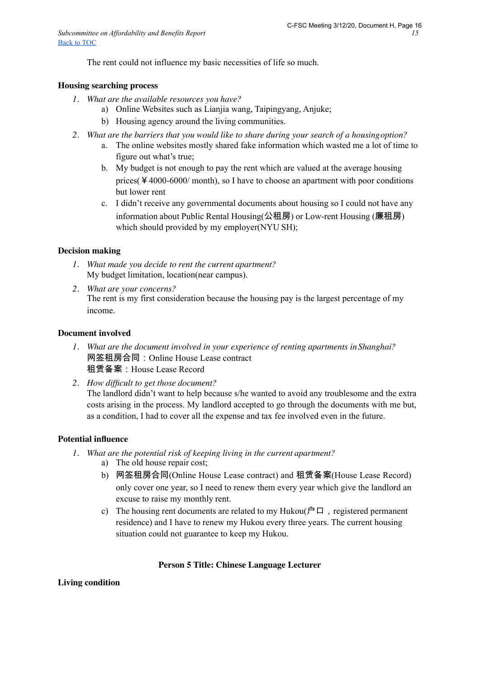The rent could not influence my basic necessities of life so much.

#### **Housing searching process**

- *1. What are the available resources you have?*
	- a) Online Websites such as Lianjia wang, Taipingyang, Anjuke;
	- b) Housing agency around the living communities.
- *2. What are the barriers that you would like to share during your search of a housingoption?*
	- a. The online websites mostly shared fake information which wasted me a lot of time to figure out what's true;
	- b. My budget is not enough to pay the rent which are valued at the average housing prices(¥4000-6000/ month), so I have to choose an apartment with poor conditions but lower rent
	- c. I didn't receive any governmental documents about housing so I could not have any information about Public Rental Housing(公租房) or Low-rent Housing (廉租房) which should provided by my employer(NYU SH);

#### **Decision making**

- *1. What made you decide to rent the current apartment?* My budget limitation, location(near campus).
- *2. What are your concerns?* The rent is my first consideration because the housing pay is the largest percentage of my income.

#### **Document involved**

- *1. What are the document involved in your experience of renting apartments inShanghai?* 网签租房合同:Online House Lease contract 租赁备案:House Lease Record
- *2. How difficult to get those document?* The landlord didn't want to help because s/he wanted to avoid any troublesome and the extra costs arising in the process. My landlord accepted to go through the documents with me but, as a condition, I had to cover all the expense and tax fee involved even in the future.

#### **Potential influence**

- *1. What are the potential risk of keeping living in the current apartment?*
	- a) The old house repair cost;
	- b) 网签租房合同(Online House Lease contract) and 租赁备案(House Lease Record) only cover one year, so I need to renew them every year which give the landlord an excuse to raise my monthly rent.
	- c) The housing rent documents are related to my Hukou( $\angle$  $\Box$ , registered permanent residence) and I have to renew my Hukou every three years. The current housing situation could not guarantee to keep my Hukou.

## **Person 5 Title: Chinese Language Lecturer**

## **Living condition**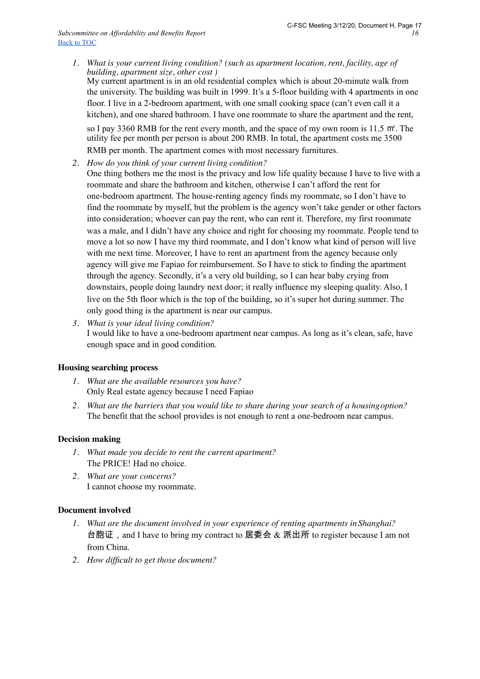*1. What is your current living condition? (such as apartment location, rent, facility, age of building, apartment size, other cost )*

My current apartment is in an old residential complex which is about 20-minute walk from the university. The building was built in 1999. It's a 5-floor building with 4 apartments in one floor. I live in a 2-bedroom apartment, with one small cooking space (can't even call it a kitchen), and one shared bathroom. I have one roommate to share the apartment and the rent, so I pay 3360 RMB for the rent every month, and the space of my own room is 11.5 ㎡*.* The utility fee per month per person is about 200 RMB. In total, the apartment costs me 3500 RMB per month. The apartment comes with most necessary furnitures.

- *2. How do you think of your current living condition?*
- One thing bothers me the most is the privacy and low life quality because I have to live with a roommate and share the bathroom and kitchen, otherwise I can't afford the rent for one-bedroom apartment. The house-renting agency finds my roommate, so I don't have to find the roommate by myself, but the problem is the agency won't take gender or other factors into consideration; whoever can pay the rent, who can rent it. Therefore, my first roommate was a male, and I didn't have any choice and right for choosing my roommate. People tend to move a lot so now I have my third roommate, and I don't know what kind of person will live with me next time. Moreover, I have to rent an apartment from the agency because only agency will give me Fapiao for reimbursement. So I have to stick to finding the apartment through the agency. Secondly, it's a very old building, so I can hear baby crying from downstairs, people doing laundry next door; it really influence my sleeping quality. Also, I live on the 5th floor which is the top of the building, so it's super hot during summer. The only good thing is the apartment is near our campus.
- *3. What is your ideal living condition?* I would like to have a one-bedroom apartment near campus. As long as it's clean, safe, have enough space and in good condition.

#### **Housing searching process**

- *1. What are the available resources you have?* Only Real estate agency because I need Fapiao
- *2. What are the barriers that you would like to share during your search of a housingoption?* The benefit that the school provides is not enough to rent a one-bedroom near campus.

#### **Decision making**

- *1. What made you decide to rent the current apartment?* The PRICE! Had no choice.
- *2. What are your concerns?* I cannot choose my roommate.

#### **Document involved**

- *1. What are the document involved in your experience of renting apartments inShanghai?* 台胞证, and I have to bring my contract to 居委会 & 派出所 to register because I am not from China.
- *2. How difficult to get those document?*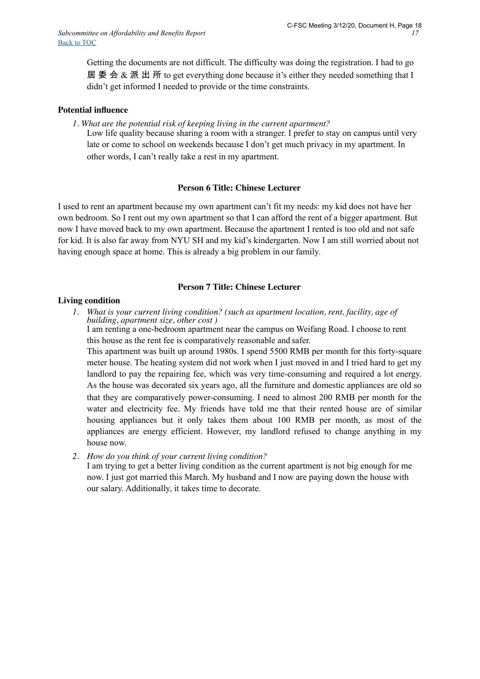Getting the documents are not difficult. The difficulty was doing the registration. I had to go 居 委 会 & 派 出 所 to get everything done because it's either they needed something that I didn't get informed I needed to provide or the time constraints.

## **Potential influence**

- *1. What are the potential risk of keeping living in the current apartment?*
	- Low life quality because sharing a room with a stranger. I prefer to stay on campus until very late or come to school on weekends because I don't get much privacy in my apartment. In other words, I can't really take a rest in my apartment.

## **Person 6 Title: Chinese Lecturer**

I used to rent an apartment because my own apartment can't fit my needs: my kid does not have her own bedroom. So I rent out my own apartment so that I can afford the rent of a bigger apartment. But now I have moved back to my own apartment. Because the apartment I rented is too old and not safe for kid. It is also far away from NYU SH and my kid's kindergarten. Now I am still worried about not having enough space at home. This is already a big problem in our family.

## **Person 7 Title: Chinese Lecturer**

## **Living condition**

*1. What is your current living condition? (such as apartment location, rent, facility, age of building, apartment size, other cost )*

I am renting a one-bedroom apartment near the campus on Weifang Road. I choose to rent this house as the rent fee is comparatively reasonable and safer.

This apartment was built up around 1980s. I spend 5500 RMB per month for this forty-square meter house. The heating system did not work when I just moved in and I tried hard to get my landlord to pay the repairing fee, which was very time-consuming and required a lot energy. As the house was decorated six years ago, all the furniture and domestic appliances are old so that they are comparatively power-consuming. I need to almost 200 RMB per month for the water and electricity fee. My friends have told me that their rented house are of similar housing appliances but it only takes them about 100 RMB per month, as most of the appliances are energy efficient. However, my landlord refused to change anything in my house now.

*2. How do you think of your current living condition?*

I am trying to get a better living condition as the current apartment is not big enough for me now. I just got married this March. My husband and I now are paying down the house with our salary. Additionally, it takes time to decorate.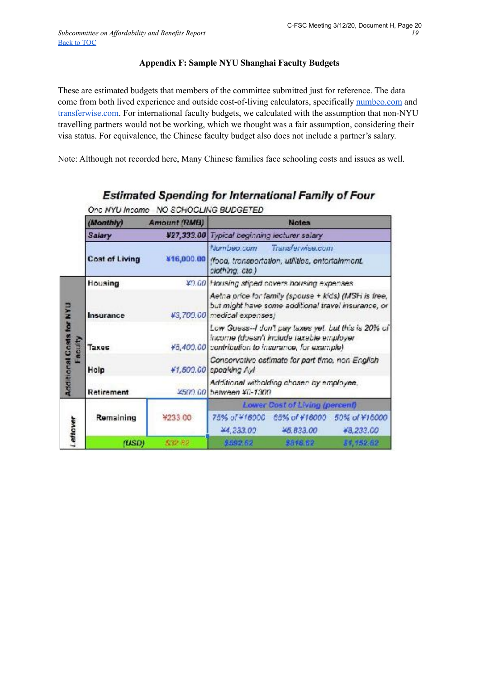## **Appendix F: Sample NYU Shanghai Faculty Budgets**

These are estimated budgets that members of the committee submitted just for reference. The data come from both lived experience and outside cost-of-living calculators, specifically [numbeo.com](https://www.numbeo.com/cost-of-living/city-estimator/in/Shanghai) and [transferwise.com.](https://transferwise.com/gb/blog/cost-of-living-in-china) For international faculty budgets, we calculated with the assumption that non-NYU travelling partners would not be working, which we thought was a fair assumption, considering their visa status. For equivalence, the Chinese faculty budget also does not include a partner's salary.

Note: Although not recorded here, Many Chinese families face schooling costs and issues as well.

|                                                      | (Monthly)<br>Amount (RMB) |            | <b>Notes</b>                                                                                                                                          |
|------------------------------------------------------|---------------------------|------------|-------------------------------------------------------------------------------------------------------------------------------------------------------|
|                                                      | Salary                    |            | ¥27,333.00 Typical beginning lecturer salary                                                                                                          |
|                                                      | Cost of Living            | ¥16,000.00 | Numbeo.com<br>Transferwise.com<br>ffoca, transportation, utilities, entertainment.<br>clothing, ctc.)                                                 |
| <b>UAN</b><br>ă<br><b>Additional Costs</b><br>aculty | Housing                   |            | ¥9.60 Housing stiped covers housing expenses.                                                                                                         |
|                                                      | Insurance                 |            | Aetna price for family (spouse + kids) (IASH is free,<br>but might have some additional travel insurance, or<br>#3,709.00 medical expenses)           |
|                                                      | Taxes                     |            | Low Guess-I don't pay taxes yet, but this is 20% of<br>income (doesn't include taxable employer<br>¥5,400.00 contribution to insurance, for example). |
|                                                      | Holp                      |            | Conservative estimate for part time, non English<br>#1,500.00 spoaking Ayl                                                                            |
|                                                      | Retirement                |            | Additional witholding chosen by employee,<br>¥509.00 between ¥0-1309                                                                                  |
| <b>Lettover</b>                                      |                           |            | Lower Cost of Living (percent)                                                                                                                        |
|                                                      | Remaining                 | ¥233.00    | 75% of ¥16000 65% of ¥16000 50% of ¥16000<br>44, 233.00<br>45,833.00<br>+8,233.00                                                                     |
|                                                      | (USD)                     | \$32.82    | \$592.62<br>\$318.52<br>34, 152.62                                                                                                                    |

## Estimated Spending for International Family of Four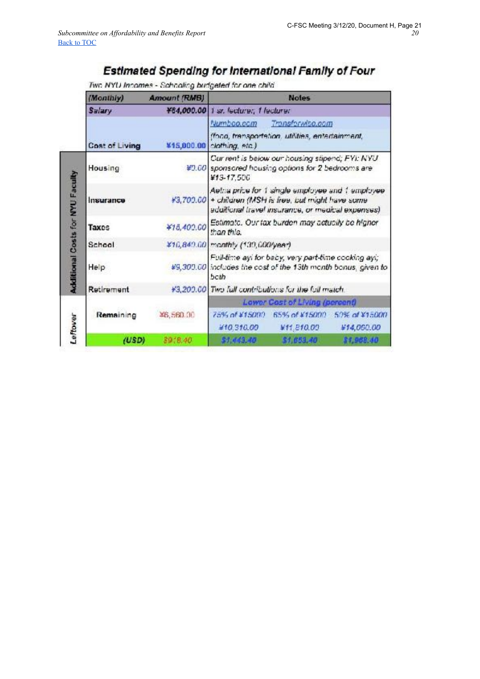## Estimated Spending for International Family of Four

## Two NYU Incomes - Schooling budgeted for one child

|                                         | (Monthly)      | <b>Amount (RMB)</b> | <b>Notes</b>                                                                                                                                                     |
|-----------------------------------------|----------------|---------------------|------------------------------------------------------------------------------------------------------------------------------------------------------------------|
|                                         | Salary         |                     | ¥64,000.00 1 sr. lecturer, 1 lecturer                                                                                                                            |
|                                         | Cost of Living |                     | Numboo.ccm<br>Transformiso.com<br>(foco, transportation, utilities, entertainment,<br>¥15,000.00 clothing, etc.)                                                 |
| <b>Additional Costs for NYU Faculty</b> | Housing        |                     | Cur rent is below our housing stipend; FYI: NYU<br>¥9.00 sponsored housing options for 2 bedrooms are<br>¥13-17.500                                              |
|                                         | Insurance      |                     | Aetha price for 1 single employee and 1 employee<br>#3,700.00 + children (MSH is free, but might have some<br>addiffonal travel insurance, or medical expenses). |
|                                         | Taxes          | ¥15,400.00          | Estimate. Our tax burden may actually be higher<br>than this.                                                                                                    |
|                                         | School         |                     | ¥16,849.60 monthly (139,600/year)                                                                                                                                |
|                                         | Help           |                     | Full-time ayi for baby, very part-time cooking ayi;<br>#9,300.00 includes the cost of the 13th month bonus, given to<br>both                                     |
|                                         | Retirement     |                     | ¥3,200.00 Two full contributions for the full match.                                                                                                             |
|                                         |                |                     | Lower Cost of Living (percent)                                                                                                                                   |
| Leffover                                | Remaining      | ¥6,560.00           | 65% of ¥15000 50% of ¥15000<br>75% of ¥15000<br>#10.310.00<br>¥11.810.00<br>¥14,000.00                                                                           |
|                                         | (USD)          | 8918.40             | \$1,653,40<br>\$1,968.40<br>\$1,443.40                                                                                                                           |